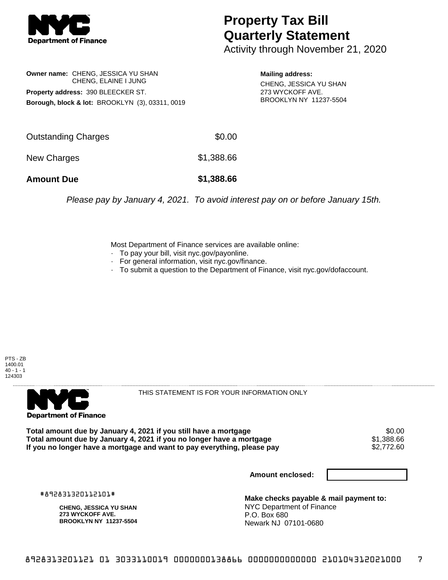

## **Property Tax Bill Quarterly Statement**

Activity through November 21, 2020

**Owner name:** CHENG, JESSICA YU SHAN CHENG, ELAINE I JUNG **Property address:** 390 BLEECKER ST. **Borough, block & lot:** BROOKLYN (3), 03311, 0019

**Mailing address:** CHENG, JESSICA YU SHAN 273 WYCKOFF AVE. BROOKLYN NY 11237-5504

| <b>Amount Due</b>   | \$1,388.66 |
|---------------------|------------|
| New Charges         | \$1,388.66 |
| Outstanding Charges | \$0.00     |

Please pay by January 4, 2021. To avoid interest pay on or before January 15th.

Most Department of Finance services are available online:

- · To pay your bill, visit nyc.gov/payonline.
- For general information, visit nyc.gov/finance.
- · To submit a question to the Department of Finance, visit nyc.gov/dofaccount.

PTS - ZB 1400.01  $40 - 1 - 1$ 124303



THIS STATEMENT IS FOR YOUR INFORMATION ONLY

Total amount due by January 4, 2021 if you still have a mortgage \$0.00<br>Total amount due by January 4, 2021 if you no longer have a mortgage \$1.388.66 **Total amount due by January 4, 2021 if you no longer have a mortgage**  $$1,388.66$ **<br>If you no longer have a mortgage and want to pay everything, please pay**  $$2,772.60$ If you no longer have a mortgage and want to pay everything, please pay

**Amount enclosed:**

#892831320112101#

**CHENG, JESSICA YU SHAN 273 WYCKOFF AVE. BROOKLYN NY 11237-5504**

**Make checks payable & mail payment to:** NYC Department of Finance P.O. Box 680 Newark NJ 07101-0680